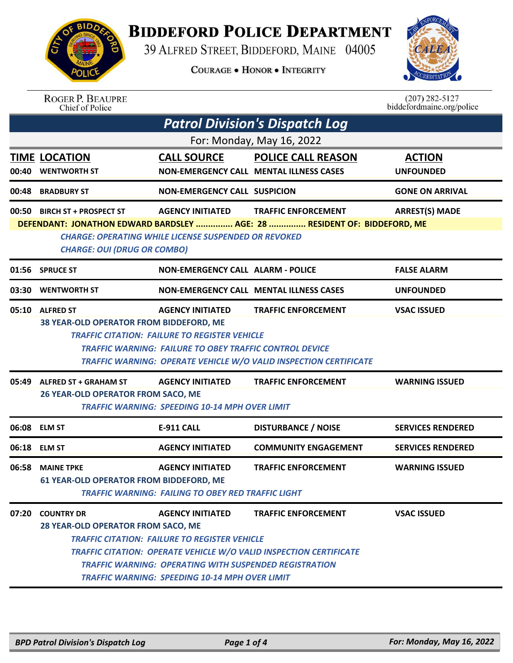

## **BIDDEFORD POLICE DEPARTMENT**

39 ALFRED STREET, BIDDEFORD, MAINE 04005

**COURAGE . HONOR . INTEGRITY** 



## ROGER P. BEAUPRE<br>Chief of Police

 $(207)$  282-5127 biddefordmaine.org/police

|       | <b>Patrol Division's Dispatch Log</b>                                                                                                                                         |                                                                                                                                                                                                           |                                                                                                         |                                   |  |  |
|-------|-------------------------------------------------------------------------------------------------------------------------------------------------------------------------------|-----------------------------------------------------------------------------------------------------------------------------------------------------------------------------------------------------------|---------------------------------------------------------------------------------------------------------|-----------------------------------|--|--|
|       | For: Monday, May 16, 2022                                                                                                                                                     |                                                                                                                                                                                                           |                                                                                                         |                                   |  |  |
| 00:40 | <b>TIME LOCATION</b><br><b>WENTWORTH ST</b>                                                                                                                                   | <b>CALL SOURCE</b>                                                                                                                                                                                        | <b>POLICE CALL REASON</b><br>NON-EMERGENCY CALL MENTAL ILLNESS CASES                                    | <b>ACTION</b><br><b>UNFOUNDED</b> |  |  |
|       | 00:48 BRADBURY ST                                                                                                                                                             | <b>NON-EMERGENCY CALL SUSPICION</b>                                                                                                                                                                       |                                                                                                         | <b>GONE ON ARRIVAL</b>            |  |  |
|       | 00:50 BIRCH ST + PROSPECT ST                                                                                                                                                  | <b>AGENCY INITIATED</b>                                                                                                                                                                                   | <b>TRAFFIC ENFORCEMENT</b>                                                                              | <b>ARREST(S) MADE</b>             |  |  |
|       | DEFENDANT: JONATHON EDWARD BARDSLEY  AGE: 28  RESIDENT OF: BIDDEFORD, ME<br><b>CHARGE: OPERATING WHILE LICENSE SUSPENDED OR REVOKED</b><br><b>CHARGE: OUI (DRUG OR COMBO)</b> |                                                                                                                                                                                                           |                                                                                                         |                                   |  |  |
|       | 01:56 SPRUCE ST                                                                                                                                                               | <b>NON-EMERGENCY CALL ALARM - POLICE</b>                                                                                                                                                                  |                                                                                                         | <b>FALSE ALARM</b>                |  |  |
| 03:30 | <b>WENTWORTH ST</b>                                                                                                                                                           |                                                                                                                                                                                                           | <b>NON-EMERGENCY CALL MENTAL ILLNESS CASES</b>                                                          | <b>UNFOUNDED</b>                  |  |  |
|       | 05:10 ALFRED ST<br>38 YEAR-OLD OPERATOR FROM BIDDEFORD, ME                                                                                                                    | <b>AGENCY INITIATED</b><br><b>TRAFFIC CITATION: FAILURE TO REGISTER VEHICLE</b>                                                                                                                           | <b>TRAFFIC ENFORCEMENT</b>                                                                              | <b>VSAC ISSUED</b>                |  |  |
|       | <b>TRAFFIC WARNING: FAILURE TO OBEY TRAFFIC CONTROL DEVICE</b><br>TRAFFIC WARNING: OPERATE VEHICLE W/O VALID INSPECTION CERTIFICATE                                           |                                                                                                                                                                                                           |                                                                                                         |                                   |  |  |
| 05:49 | ALFRED ST + GRAHAM ST                                                                                                                                                         | <b>AGENCY INITIATED</b>                                                                                                                                                                                   | <b>TRAFFIC ENFORCEMENT</b>                                                                              | <b>WARNING ISSUED</b>             |  |  |
|       | <b>26 YEAR-OLD OPERATOR FROM SACO, ME</b>                                                                                                                                     | <b>TRAFFIC WARNING: SPEEDING 10-14 MPH OVER LIMIT</b>                                                                                                                                                     |                                                                                                         |                                   |  |  |
| 06:08 | <b>ELM ST</b>                                                                                                                                                                 | <b>E-911 CALL</b>                                                                                                                                                                                         | <b>DISTURBANCE / NOISE</b>                                                                              | <b>SERVICES RENDERED</b>          |  |  |
| 06:18 | <b>ELM ST</b>                                                                                                                                                                 | <b>AGENCY INITIATED</b>                                                                                                                                                                                   | <b>COMMUNITY ENGAGEMENT</b>                                                                             | <b>SERVICES RENDERED</b>          |  |  |
| 06:58 | <b>MAINE TPKE</b>                                                                                                                                                             | <b>AGENCY INITIATED</b>                                                                                                                                                                                   | <b>TRAFFIC ENFORCEMENT</b>                                                                              | <b>WARNING ISSUED</b>             |  |  |
|       | 61 YEAR-OLD OPERATOR FROM BIDDEFORD, ME<br>TRAFFIC WARNING:  FAILING TO OBEY RED TRAFFIC LIGHT                                                                                |                                                                                                                                                                                                           |                                                                                                         |                                   |  |  |
| 07:20 | <b>COUNTRY DR</b><br>28 YEAR-OLD OPERATOR FROM SACO, ME                                                                                                                       | <b>AGENCY INITIATED</b><br><b>TRAFFIC CITATION: FAILURE TO REGISTER VEHICLE</b><br><b>TRAFFIC WARNING: OPERATING WITH SUSPENDED REGISTRATION</b><br><b>TRAFFIC WARNING: SPEEDING 10-14 MPH OVER LIMIT</b> | <b>TRAFFIC ENFORCEMENT</b><br><b>TRAFFIC CITATION: OPERATE VEHICLE W/O VALID INSPECTION CERTIFICATE</b> | <b>VSAC ISSUED</b>                |  |  |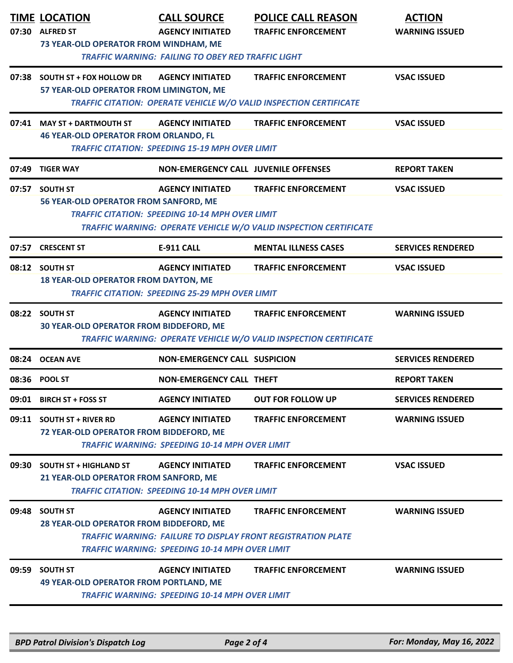|       | <b>TIME LOCATION</b><br>07:30 ALFRED ST<br>73 YEAR-OLD OPERATOR FROM WINDHAM, ME | <b>CALL SOURCE</b><br><b>AGENCY INITIATED</b><br><b>TRAFFIC WARNING: FAILING TO OBEY RED TRAFFIC LIGHT</b> | <b>POLICE CALL REASON</b><br><b>TRAFFIC ENFORCEMENT</b>                                           | <b>ACTION</b><br><b>WARNING ISSUED</b> |
|-------|----------------------------------------------------------------------------------|------------------------------------------------------------------------------------------------------------|---------------------------------------------------------------------------------------------------|----------------------------------------|
|       | 07:38 SOUTH ST + FOX HOLLOW DR<br>57 YEAR-OLD OPERATOR FROM LIMINGTON, ME        | <b>AGENCY INITIATED</b>                                                                                    | <b>TRAFFIC ENFORCEMENT</b><br>TRAFFIC CITATION: OPERATE VEHICLE W/O VALID INSPECTION CERTIFICATE  | <b>VSAC ISSUED</b>                     |
|       | 07:41 MAY ST + DARTMOUTH ST<br><b>46 YEAR-OLD OPERATOR FROM ORLANDO, FL</b>      | <b>AGENCY INITIATED</b><br><b>TRAFFIC CITATION: SPEEDING 15-19 MPH OVER LIMIT</b>                          | <b>TRAFFIC ENFORCEMENT</b>                                                                        | <b>VSAC ISSUED</b>                     |
|       | 07:49 TIGER WAY                                                                  | <b>NON-EMERGENCY CALL JUVENILE OFFENSES</b>                                                                |                                                                                                   | <b>REPORT TAKEN</b>                    |
|       | 07:57 SOUTH ST<br>56 YEAR-OLD OPERATOR FROM SANFORD, ME                          | <b>AGENCY INITIATED</b><br><b>TRAFFIC CITATION: SPEEDING 10-14 MPH OVER LIMIT</b>                          | <b>TRAFFIC ENFORCEMENT</b><br>TRAFFIC WARNING: OPERATE VEHICLE W/O VALID INSPECTION CERTIFICATE   | <b>VSAC ISSUED</b>                     |
|       | 07:57 CRESCENT ST                                                                | <b>E-911 CALL</b>                                                                                          | <b>MENTAL ILLNESS CASES</b>                                                                       | <b>SERVICES RENDERED</b>               |
|       | 08:12 SOUTH ST<br><b>18 YEAR-OLD OPERATOR FROM DAYTON, ME</b>                    | <b>AGENCY INITIATED</b><br><b>TRAFFIC CITATION: SPEEDING 25-29 MPH OVER LIMIT</b>                          | <b>TRAFFIC ENFORCEMENT</b>                                                                        | <b>VSAC ISSUED</b>                     |
|       | 08:22 SOUTH ST<br>30 YEAR-OLD OPERATOR FROM BIDDEFORD, ME                        | <b>AGENCY INITIATED</b>                                                                                    | <b>TRAFFIC ENFORCEMENT</b><br>TRAFFIC WARNING: OPERATE VEHICLE W/O VALID INSPECTION CERTIFICATE   | <b>WARNING ISSUED</b>                  |
|       | 08:24 OCEAN AVE                                                                  | <b>NON-EMERGENCY CALL SUSPICION</b>                                                                        |                                                                                                   | <b>SERVICES RENDERED</b>               |
|       | 08:36 POOL ST                                                                    | NON-EMERGENCY CALL THEFT                                                                                   |                                                                                                   | <b>REPORT TAKEN</b>                    |
| 09:01 | <b>BIRCH ST + FOSS ST</b>                                                        | <b>AGENCY INITIATED</b>                                                                                    | <b>OUT FOR FOLLOW UP</b>                                                                          | <b>SERVICES RENDERED</b>               |
|       | 09:11 SOUTH ST + RIVER RD<br>72 YEAR-OLD OPERATOR FROM BIDDEFORD, ME             | <b>AGENCY INITIATED</b><br><b>TRAFFIC WARNING: SPEEDING 10-14 MPH OVER LIMIT</b>                           | <b>TRAFFIC ENFORCEMENT</b>                                                                        | <b>WARNING ISSUED</b>                  |
|       | 09:30 SOUTH ST + HIGHLAND ST<br>21 YEAR-OLD OPERATOR FROM SANFORD, ME            | <b>AGENCY INITIATED</b><br><b>TRAFFIC CITATION: SPEEDING 10-14 MPH OVER LIMIT</b>                          | <b>TRAFFIC ENFORCEMENT</b>                                                                        | <b>VSAC ISSUED</b>                     |
| 09:48 | <b>SOUTH ST</b><br>28 YEAR-OLD OPERATOR FROM BIDDEFORD, ME                       | <b>AGENCY INITIATED</b><br><b>TRAFFIC WARNING: SPEEDING 10-14 MPH OVER LIMIT</b>                           | <b>TRAFFIC ENFORCEMENT</b><br><b>TRAFFIC WARNING: FAILURE TO DISPLAY FRONT REGISTRATION PLATE</b> | <b>WARNING ISSUED</b>                  |
| 09:59 | <b>SOUTH ST</b><br><b>49 YEAR-OLD OPERATOR FROM PORTLAND, ME</b>                 | <b>AGENCY INITIATED</b><br><b>TRAFFIC WARNING: SPEEDING 10-14 MPH OVER LIMIT</b>                           | <b>TRAFFIC ENFORCEMENT</b>                                                                        | <b>WARNING ISSUED</b>                  |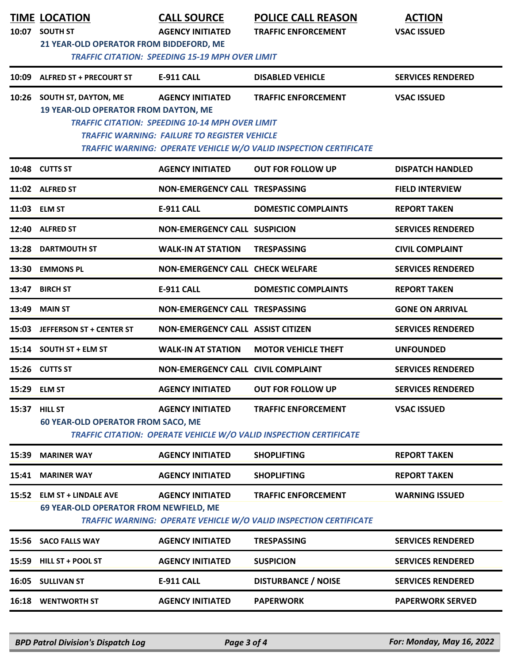|       | <b>TIME LOCATION</b><br>10:07 SOUTH ST<br>21 YEAR-OLD OPERATOR FROM BIDDEFORD, ME                                                                                                                                | <b>CALL SOURCE</b><br><b>AGENCY INITIATED</b><br><b>TRAFFIC CITATION: SPEEDING 15-19 MPH OVER LIMIT</b>                                  | <b>POLICE CALL REASON</b><br><b>TRAFFIC ENFORCEMENT</b>                                                | <b>ACTION</b><br><b>VSAC ISSUED</b> |  |
|-------|------------------------------------------------------------------------------------------------------------------------------------------------------------------------------------------------------------------|------------------------------------------------------------------------------------------------------------------------------------------|--------------------------------------------------------------------------------------------------------|-------------------------------------|--|
| 10:09 | <b>ALFRED ST + PRECOURT ST</b>                                                                                                                                                                                   | <b>E-911 CALL</b>                                                                                                                        | <b>DISABLED VEHICLE</b>                                                                                | <b>SERVICES RENDERED</b>            |  |
|       | 10:26 SOUTH ST, DAYTON, ME<br><b>19 YEAR-OLD OPERATOR FROM DAYTON, ME</b>                                                                                                                                        | <b>AGENCY INITIATED</b><br><b>TRAFFIC CITATION: SPEEDING 10-14 MPH OVER LIMIT</b><br><b>TRAFFIC WARNING: FAILURE TO REGISTER VEHICLE</b> | <b>TRAFFIC ENFORCEMENT</b><br><b>TRAFFIC WARNING: OPERATE VEHICLE W/O VALID INSPECTION CERTIFICATE</b> | <b>VSAC ISSUED</b>                  |  |
|       | 10:48 CUTTS ST                                                                                                                                                                                                   | <b>AGENCY INITIATED</b>                                                                                                                  | <b>OUT FOR FOLLOW UP</b>                                                                               | <b>DISPATCH HANDLED</b>             |  |
|       | 11:02 ALFRED ST                                                                                                                                                                                                  | <b>NON-EMERGENCY CALL TRESPASSING</b>                                                                                                    |                                                                                                        | <b>FIELD INTERVIEW</b>              |  |
|       | 11:03 ELM ST                                                                                                                                                                                                     | <b>E-911 CALL</b>                                                                                                                        | <b>DOMESTIC COMPLAINTS</b>                                                                             | <b>REPORT TAKEN</b>                 |  |
| 12:40 | <b>ALFRED ST</b>                                                                                                                                                                                                 | <b>NON-EMERGENCY CALL SUSPICION</b>                                                                                                      |                                                                                                        | <b>SERVICES RENDERED</b>            |  |
| 13:28 | <b>DARTMOUTH ST</b>                                                                                                                                                                                              | <b>WALK-IN AT STATION</b>                                                                                                                | <b>TRESPASSING</b>                                                                                     | <b>CIVIL COMPLAINT</b>              |  |
| 13:30 | <b>EMMONS PL</b>                                                                                                                                                                                                 | <b>NON-EMERGENCY CALL CHECK WELFARE</b>                                                                                                  |                                                                                                        | <b>SERVICES RENDERED</b>            |  |
| 13:47 | <b>BIRCH ST</b>                                                                                                                                                                                                  | <b>E-911 CALL</b>                                                                                                                        | <b>DOMESTIC COMPLAINTS</b>                                                                             | <b>REPORT TAKEN</b>                 |  |
| 13:49 | <b>MAIN ST</b>                                                                                                                                                                                                   | <b>NON-EMERGENCY CALL TRESPASSING</b>                                                                                                    |                                                                                                        | <b>GONE ON ARRIVAL</b>              |  |
| 15:03 | JEFFERSON ST + CENTER ST                                                                                                                                                                                         | <b>NON-EMERGENCY CALL ASSIST CITIZEN</b>                                                                                                 |                                                                                                        | <b>SERVICES RENDERED</b>            |  |
|       | 15:14 SOUTH ST + ELM ST                                                                                                                                                                                          | <b>WALK-IN AT STATION</b>                                                                                                                | <b>MOTOR VEHICLE THEFT</b>                                                                             | <b>UNFOUNDED</b>                    |  |
|       | 15:26 CUTTS ST                                                                                                                                                                                                   | <b>NON-EMERGENCY CALL CIVIL COMPLAINT</b>                                                                                                |                                                                                                        | <b>SERVICES RENDERED</b>            |  |
| 15:29 | <b>ELM ST</b>                                                                                                                                                                                                    | <b>AGENCY INITIATED</b>                                                                                                                  | <b>OUT FOR FOLLOW UP</b>                                                                               | <b>SERVICES RENDERED</b>            |  |
| 15:37 | <b>HILL ST</b><br><b>AGENCY INITIATED</b><br><b>TRAFFIC ENFORCEMENT</b><br><b>VSAC ISSUED</b><br><b>60 YEAR-OLD OPERATOR FROM SACO, ME</b><br>TRAFFIC CITATION: OPERATE VEHICLE W/O VALID INSPECTION CERTIFICATE |                                                                                                                                          |                                                                                                        |                                     |  |
| 15:39 | <b>MARINER WAY</b>                                                                                                                                                                                               | <b>AGENCY INITIATED</b>                                                                                                                  | <b>SHOPLIFTING</b>                                                                                     | <b>REPORT TAKEN</b>                 |  |
| 15:41 | <b>MARINER WAY</b>                                                                                                                                                                                               | <b>AGENCY INITIATED</b>                                                                                                                  | <b>SHOPLIFTING</b>                                                                                     | <b>REPORT TAKEN</b>                 |  |
|       | 15:52 ELM ST + LINDALE AVE<br>69 YEAR-OLD OPERATOR FROM NEWFIELD, ME                                                                                                                                             | <b>AGENCY INITIATED</b>                                                                                                                  | <b>TRAFFIC ENFORCEMENT</b><br>TRAFFIC WARNING: OPERATE VEHICLE W/O VALID INSPECTION CERTIFICATE        | <b>WARNING ISSUED</b>               |  |
|       | 15:56 SACO FALLS WAY                                                                                                                                                                                             | <b>AGENCY INITIATED</b>                                                                                                                  | <b>TRESPASSING</b>                                                                                     | <b>SERVICES RENDERED</b>            |  |
| 15:59 | HILL ST + POOL ST                                                                                                                                                                                                | <b>AGENCY INITIATED</b>                                                                                                                  | <b>SUSPICION</b>                                                                                       | <b>SERVICES RENDERED</b>            |  |
|       | 16:05 SULLIVAN ST                                                                                                                                                                                                | <b>E-911 CALL</b>                                                                                                                        | <b>DISTURBANCE / NOISE</b>                                                                             | <b>SERVICES RENDERED</b>            |  |
| 16:18 | <b>WENTWORTH ST</b>                                                                                                                                                                                              | <b>AGENCY INITIATED</b>                                                                                                                  | <b>PAPERWORK</b>                                                                                       | <b>PAPERWORK SERVED</b>             |  |